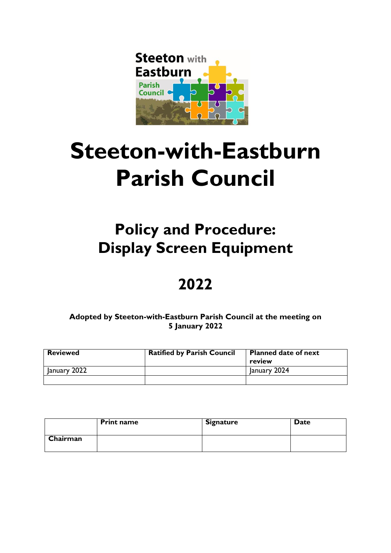

# **Steeton-with-Eastburn Parish Council**

# **Policy and Procedure: Display Screen Equipment**

# **2022**

## **Adopted by Steeton-with-Eastburn Parish Council at the meeting on 5 January 2022**

| <b>Reviewed</b> | <b>Ratified by Parish Council</b> | <b>Planned date of next</b><br>review |
|-----------------|-----------------------------------|---------------------------------------|
| January 2022    |                                   | January 2024                          |
|                 |                                   |                                       |

|          | <b>Print name</b> | <b>Signature</b> | <b>Date</b> |
|----------|-------------------|------------------|-------------|
| Chairman |                   |                  |             |